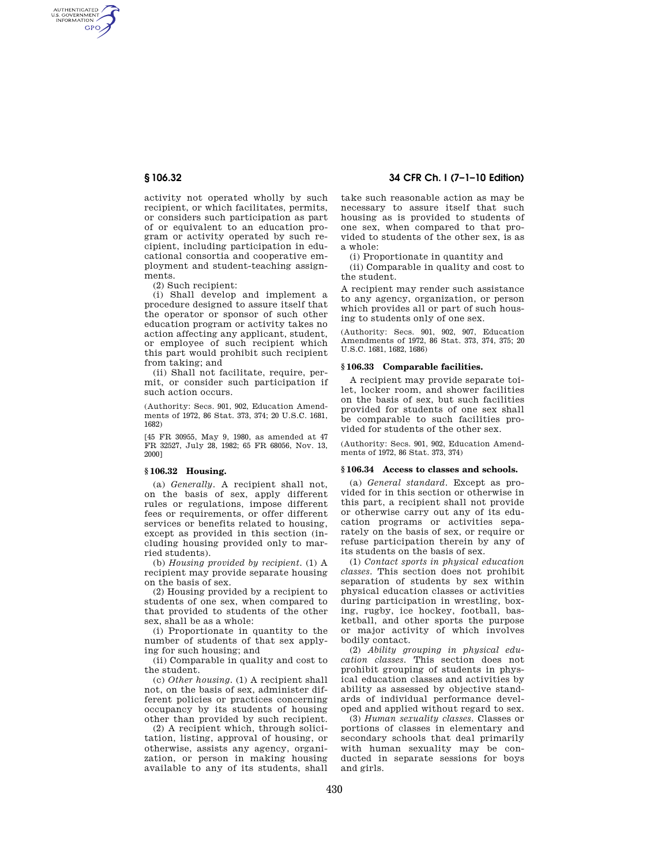AUTHENTICATED<br>U.S. GOVERNMENT<br>INFORMATION **GPO** 

> activity not operated wholly by such recipient, or which facilitates, permits, or considers such participation as part of or equivalent to an education program or activity operated by such recipient, including participation in educational consortia and cooperative employment and student-teaching assignments.

(2) Such recipient:

(i) Shall develop and implement a procedure designed to assure itself that the operator or sponsor of such other education program or activity takes no action affecting any applicant, student, or employee of such recipient which this part would prohibit such recipient from taking; and

(ii) Shall not facilitate, require, permit, or consider such participation if such action occurs.

(Authority: Secs. 901, 902, Education Amendments of 1972, 86 Stat. 373, 374; 20 U.S.C. 1681, 1682)

[45 FR 30955, May 9, 1980, as amended at 47 FR 32527, July 28, 1982; 65 FR 68056, Nov. 13, 2000]

# **§ 106.32 Housing.**

(a) *Generally.* A recipient shall not, on the basis of sex, apply different rules or regulations, impose different fees or requirements, or offer different services or benefits related to housing, except as provided in this section (including housing provided only to married students).

(b) *Housing provided by recipient.* (1) A recipient may provide separate housing on the basis of sex.

(2) Housing provided by a recipient to students of one sex, when compared to that provided to students of the other sex, shall be as a whole:

(i) Proportionate in quantity to the number of students of that sex applying for such housing; and

(ii) Comparable in quality and cost to the student.

(c) *Other housing.* (1) A recipient shall not, on the basis of sex, administer different policies or practices concerning occupancy by its students of housing other than provided by such recipient.

(2) A recipient which, through solicitation, listing, approval of housing, or otherwise, assists any agency, organization, or person in making housing available to any of its students, shall

# **§ 106.32 34 CFR Ch. I (7–1–10 Edition)**

take such reasonable action as may be necessary to assure itself that such housing as is provided to students of one sex, when compared to that provided to students of the other sex, is as a whole:

(i) Proportionate in quantity and

(ii) Comparable in quality and cost to the student.

A recipient may render such assistance to any agency, organization, or person which provides all or part of such housing to students only of one sex.

(Authority: Secs. 901, 902, 907, Education Amendments of 1972, 86 Stat. 373, 374, 375; 20 U.S.C. 1681, 1682, 1686)

## **§ 106.33 Comparable facilities.**

A recipient may provide separate toilet, locker room, and shower facilities on the basis of sex, but such facilities provided for students of one sex shall be comparable to such facilities provided for students of the other sex.

(Authority: Secs. 901, 902, Education Amendments of 1972, 86 Stat. 373, 374)

### **§ 106.34 Access to classes and schools.**

(a) *General standard.* Except as provided for in this section or otherwise in this part, a recipient shall not provide or otherwise carry out any of its education programs or activities separately on the basis of sex, or require or refuse participation therein by any of its students on the basis of sex.

(1) *Contact sports in physical education classes.* This section does not prohibit separation of students by sex within physical education classes or activities during participation in wrestling, boxing, rugby, ice hockey, football, basketball, and other sports the purpose or major activity of which involves bodily contact.

(2) *Ability grouping in physical education classes.* This section does not prohibit grouping of students in physical education classes and activities by ability as assessed by objective standards of individual performance developed and applied without regard to sex.

(3) *Human sexuality classes.* Classes or portions of classes in elementary and secondary schools that deal primarily with human sexuality may be conducted in separate sessions for boys and girls.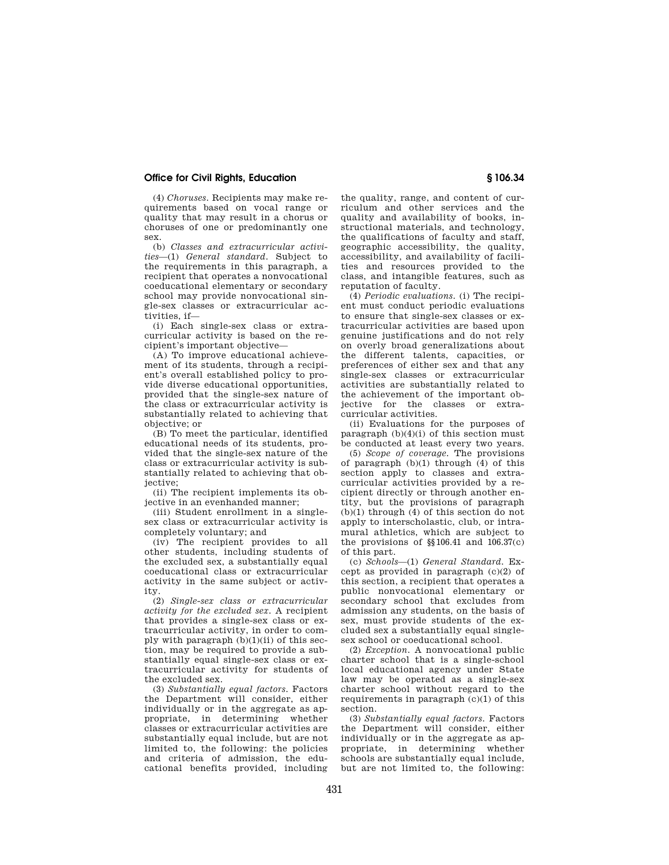## **Office for Civil Rights, Education § 106.34**

(4) *Choruses.* Recipients may make requirements based on vocal range or quality that may result in a chorus or choruses of one or predominantly one sex.

(b) *Classes and extracurricular activities*—(1) *General standard.* Subject to the requirements in this paragraph, a recipient that operates a nonvocational coeducational elementary or secondary school may provide nonvocational single-sex classes or extracurricular activities, if—

(i) Each single-sex class or extracurricular activity is based on the recipient's important objective—

(A) To improve educational achievement of its students, through a recipient's overall established policy to provide diverse educational opportunities, provided that the single-sex nature of the class or extracurricular activity is substantially related to achieving that objective; or

(B) To meet the particular, identified educational needs of its students, provided that the single-sex nature of the class or extracurricular activity is substantially related to achieving that objective;

(ii) The recipient implements its objective in an evenhanded manner;

(iii) Student enrollment in a singlesex class or extracurricular activity is completely voluntary; and

(iv) The recipient provides to all other students, including students of the excluded sex, a substantially equal coeducational class or extracurricular activity in the same subject or activity.

(2) *Single-sex class or extracurricular activity for the excluded sex.* A recipient that provides a single-sex class or extracurricular activity, in order to comply with paragraph  $(b)(1)(ii)$  of this section, may be required to provide a substantially equal single-sex class or extracurricular activity for students of the excluded sex.

(3) *Substantially equal factors.* Factors the Department will consider, either individually or in the aggregate as appropriate, in determining whether classes or extracurricular activities are substantially equal include, but are not limited to, the following: the policies and criteria of admission, the educational benefits provided, including

the quality, range, and content of curriculum and other services and the quality and availability of books, instructional materials, and technology, the qualifications of faculty and staff, geographic accessibility, the quality, accessibility, and availability of facilities and resources provided to the class, and intangible features, such as reputation of faculty.

(4) *Periodic evaluations.* (i) The recipient must conduct periodic evaluations to ensure that single-sex classes or extracurricular activities are based upon genuine justifications and do not rely on overly broad generalizations about the different talents, capacities, or preferences of either sex and that any single-sex classes or extracurricular activities are substantially related to the achievement of the important objective for the classes or extracurricular activities.

(ii) Evaluations for the purposes of paragraph  $(b)(4)(i)$  of this section must be conducted at least every two years.

(5) *Scope of coverage.* The provisions of paragraph (b)(1) through (4) of this section apply to classes and extracurricular activities provided by a recipient directly or through another entity, but the provisions of paragraph (b)(1) through (4) of this section do not apply to interscholastic, club, or intramural athletics, which are subject to the provisions of §§106.41 and 106.37(c) of this part.

(c) *Schools*—(1) *General Standard.* Except as provided in paragraph (c)(2) of this section, a recipient that operates a public nonvocational elementary or secondary school that excludes from admission any students, on the basis of sex, must provide students of the excluded sex a substantially equal singlesex school or coeducational school.

(2) *Exception.* A nonvocational public charter school that is a single-school local educational agency under State law may be operated as a single-sex charter school without regard to the requirements in paragraph (c)(1) of this section.

(3) *Substantially equal factors.* Factors the Department will consider, either individually or in the aggregate as appropriate, in determining whether schools are substantially equal include, but are not limited to, the following: